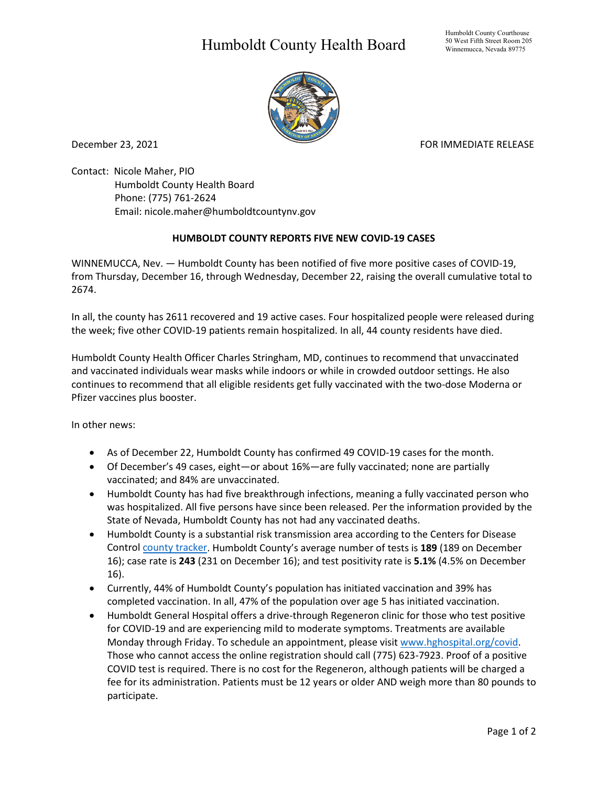## Humboldt County Health Board



December 23, 2021 **FOR IMMEDIATE RELEASE** 

Contact: Nicole Maher, PIO Humboldt County Health Board Phone: (775) 761-2624 Email: nicole.maher@humboldtcountynv.gov

## **HUMBOLDT COUNTY REPORTS FIVE NEW COVID-19 CASES**

WINNEMUCCA, Nev. — Humboldt County has been notified of five more positive cases of COVID-19, from Thursday, December 16, through Wednesday, December 22, raising the overall cumulative total to 2674.

In all, the county has 2611 recovered and 19 active cases. Four hospitalized people were released during the week; five other COVID-19 patients remain hospitalized. In all, 44 county residents have died.

Humboldt County Health Officer Charles Stringham, MD, continues to recommend that unvaccinated and vaccinated individuals wear masks while indoors or while in crowded outdoor settings. He also continues to recommend that all eligible residents get fully vaccinated with the two-dose Moderna or Pfizer vaccines plus booster.

In other news:

- As of December 22, Humboldt County has confirmed 49 COVID-19 cases for the month.
- Of December's 49 cases, eight—or about 16%—are fully vaccinated; none are partially vaccinated; and 84% are unvaccinated.
- Humboldt County has had five breakthrough infections, meaning a fully vaccinated person who was hospitalized. All five persons have since been released. Per the information provided by the State of Nevada, Humboldt County has not had any vaccinated deaths.
- Humboldt County is a substantial risk transmission area according to the Centers for Disease Control [county tracker.](https://nvhealthresponse.nv.gov/current-status-mitigation-measures/) Humboldt County's average number of tests is **189** (189 on December 16); case rate is **243** (231 on December 16); and test positivity rate is **5.1%** (4.5% on December 16).
- Currently, 44% of Humboldt County's population has initiated vaccination and 39% has completed vaccination. In all, 47% of the population over age 5 has initiated vaccination.
- Humboldt General Hospital offers a drive-through Regeneron clinic for those who test positive for COVID-19 and are experiencing mild to moderate symptoms. Treatments are available Monday through Friday. To schedule an appointment, please visit www.hghospital.org/covid. Those who cannot access the online registration should call (775) 623-7923. Proof of a positive COVID test is required. There is no cost for the Regeneron, although patients will be charged a fee for its administration. Patients must be 12 years or older AND weigh more than 80 pounds to participate.